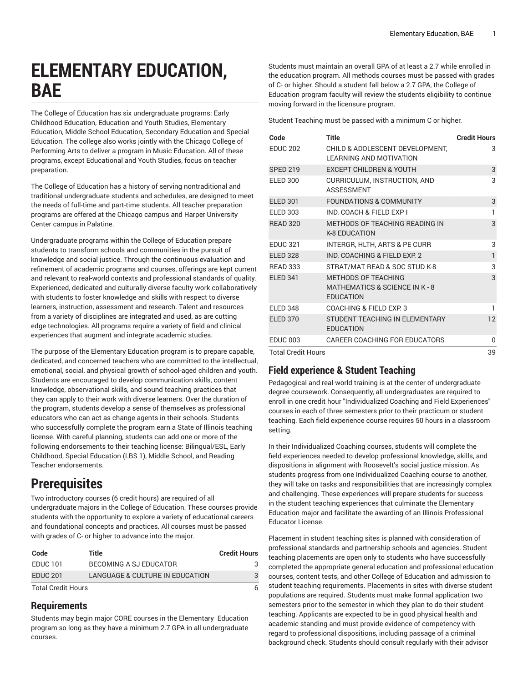# **ELEMENTARY EDUCATION, BAE**

The College of Education has six undergraduate programs: Early Childhood Education, Education and Youth Studies, Elementary Education, Middle School Education, Secondary Education and Special Education. The college also works jointly with the Chicago College of Performing Arts to deliver a program in Music Education. All of these programs, except Educational and Youth Studies, focus on teacher preparation.

The College of Education has a history of serving nontraditional and traditional undergraduate students and schedules, are designed to meet the needs of full-time and part-time students. All teacher preparation programs are offered at the Chicago campus and Harper University Center campus in Palatine.

Undergraduate programs within the College of Education prepare students to transform schools and communities in the pursuit of knowledge and social justice. Through the continuous evaluation and refinement of academic programs and courses, offerings are kept current and relevant to real-world contexts and professional standards of quality. Experienced, dedicated and culturally diverse faculty work collaboratively with students to foster knowledge and skills with respect to diverse learners, instruction, assessment and research. Talent and resources from a variety of disciplines are integrated and used, as are cutting edge technologies. All programs require a variety of field and clinical experiences that augment and integrate academic studies.

The purpose of the Elementary Education program is to prepare capable, dedicated, and concerned teachers who are committed to the intellectual, emotional, social, and physical growth of school-aged children and youth. Students are encouraged to develop communication skills, content knowledge, observational skills, and sound teaching practices that they can apply to their work with diverse learners. Over the duration of the program, students develop a sense of themselves as professional educators who can act as change agents in their schools. Students who successfully complete the program earn a State of Illinois teaching license. With careful planning, students can add one or more of the following endorsements to their teaching license: Bilingual/ESL, Early Childhood, Special Education (LBS 1), Middle School, and Reading Teacher endorsements.

## **Prerequisites**

Two introductory courses (6 credit hours) are required of all undergraduate majors in the College of Education. These courses provide students with the opportunity to explore a variety of educational careers and foundational concepts and practices. All courses must be passed with grades of C- or higher to advance into the major.

| Code               | Title                           | <b>Credit Hours</b> |
|--------------------|---------------------------------|---------------------|
| <b>EDUC 101</b>    | BECOMING A SJ EDUCATOR          |                     |
| <b>EDUC 201</b>    | LANGUAGE & CULTURE IN EDUCATION |                     |
| Total Cradit Hours |                                 |                     |

Total Credit Hours 6

## **Requirements**

Students may begin major CORE courses in the Elementary Education program so long as they have a minimum 2.7 GPA in all undergraduate courses.

Students must maintain an overall GPA of at least a 2.7 while enrolled in the education program. All methods courses must be passed with grades of C- or higher. Should a student fall below a 2.7 GPA, the College of Education program faculty will review the students eligibility to continue moving forward in the licensure program.

Student Teaching must be passed with a minimum C or higher.

| Code                      | <b>Title</b>                                                                              | <b>Credit Hours</b> |
|---------------------------|-------------------------------------------------------------------------------------------|---------------------|
| <b>EDUC 202</b>           | CHILD & ADOLESCENT DEVELOPMENT,<br><b>LEARNING AND MOTIVATION</b>                         | 3                   |
| <b>SPED 219</b>           | <b>EXCEPT CHILDREN &amp; YOUTH</b>                                                        | 3                   |
| <b>ELED 300</b>           | CURRICULUM, INSTRUCTION, AND<br><b>ASSESSMENT</b>                                         | 3                   |
| <b>ELED 301</b>           | <b>FOUNDATIONS &amp; COMMUNITY</b>                                                        | 3                   |
| <b>ELED 303</b>           | IND. COACH & FIELD EXP I                                                                  | 1                   |
| <b>READ 320</b>           | METHODS OF TEACHING READING IN<br><b>K-8 EDUCATION</b>                                    | 3                   |
| <b>EDUC 321</b>           | INTERGR, HLTH, ARTS & PE CURR                                                             | 3                   |
| <b>ELED 328</b>           | IND. COACHING & FIELD EXP. 2                                                              | $\mathbf{1}$        |
| <b>READ 333</b>           | STRAT/MAT READ & SOC STUD K-8                                                             | 3                   |
| <b>ELED 341</b>           | <b>METHODS OF TEACHING</b><br><b>MATHEMATICS &amp; SCIENCE IN K-8</b><br><b>EDUCATION</b> | $\overline{3}$      |
| <b>ELED 348</b>           | COACHING & FIELD EXP. 3                                                                   | ı                   |
| <b>ELED 370</b>           | STUDENT TEACHING IN ELEMENTARY<br><b>EDUCATION</b>                                        | 12                  |
| <b>EDUC 003</b>           | CAREER COACHING FOR EDUCATORS                                                             | 0                   |
| <b>Total Credit Hours</b> |                                                                                           | 50                  |

Total Credit Hours

## **Field experience & Student Teaching**

Pedagogical and real-world training is at the center of undergraduate degree coursework. Consequently, all undergraduates are required to enroll in one credit hour "Individualized Coaching and Field Experiences" courses in each of three semesters prior to their practicum or student teaching. Each field experience course requires 50 hours in a classroom setting.

In their Individualized Coaching courses, students will complete the field experiences needed to develop professional knowledge, skills, and dispositions in alignment with Roosevelt's social justice mission. As students progress from one Individualized Coaching course to another, they will take on tasks and responsibilities that are increasingly complex and challenging. These experiences will prepare students for success in the student teaching experiences that culminate the Elementary Education major and facilitate the awarding of an Illinois Professional Educator License.

Placement in student teaching sites is planned with consideration of professional standards and partnership schools and agencies. Student teaching placements are open only to students who have successfully completed the appropriate general education and professional education courses, content tests, and other College of Education and admission to student teaching requirements. Placements in sites with diverse student populations are required. Students must make formal application two semesters prior to the semester in which they plan to do their student teaching. Applicants are expected to be in good physical health and academic standing and must provide evidence of competency with regard to professional dispositions, including passage of a criminal background check. Students should consult regularly with their advisor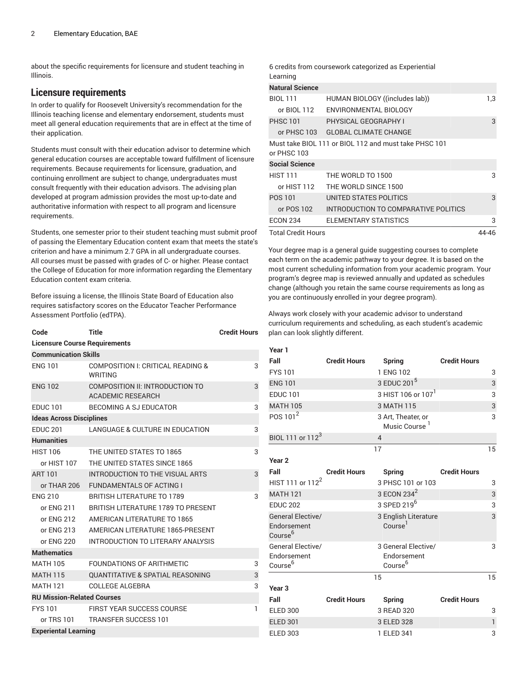about the specific requirements for licensure and student teaching in Illinois.

## **Licensure requirements**

In order to qualify for Roosevelt University's recommendation for the Illinois teaching license and elementary endorsement, students must meet all general education requirements that are in effect at the time of their application.

Students must consult with their education advisor to determine which general education courses are acceptable toward fulfillment of licensure requirements. Because requirements for licensure, graduation, and continuing enrollment are subject to change, undergraduates must consult frequently with their education advisors. The advising plan developed at program admission provides the most up-to-date and authoritative information with respect to all program and licensure requirements.

Students, one semester prior to their student teaching must submit proof of passing the Elementary Education content exam that meets the state's criterion and have a minimum 2.7 GPA in all undergraduate courses. All courses must be passed with grades of C- or higher. Please contact the College of Education for more information regarding the Elementary Education content exam criteria.

Before issuing a license, the Illinois State Board of Education also requires satisfactory scores on the Educator Teacher Performance Assessment Portfolio (edTPA).

| Code                                 | Title                                                       | <b>Credit Hours</b> |  |  |  |
|--------------------------------------|-------------------------------------------------------------|---------------------|--|--|--|
| <b>Licensure Course Requirements</b> |                                                             |                     |  |  |  |
| <b>Communication Skills</b>          |                                                             |                     |  |  |  |
| <b>ENG 101</b>                       | COMPOSITION I: CRITICAL READING &<br><b>WRITING</b>         | 3                   |  |  |  |
| <b>ENG 102</b>                       | COMPOSITION II: INTRODUCTION TO<br><b>ACADEMIC RESEARCH</b> | 3                   |  |  |  |
| <b>EDUC 101</b>                      | BECOMING A SJ EDUCATOR                                      | 3                   |  |  |  |
|                                      | <b>Ideas Across Disciplines</b>                             |                     |  |  |  |
| <b>EDUC 201</b>                      | <b>LANGUAGE &amp; CULTURE IN EDUCATION</b>                  | 3                   |  |  |  |
| <b>Humanities</b>                    |                                                             |                     |  |  |  |
| <b>HIST 106</b>                      | THE UNITED STATES TO 1865                                   | 3                   |  |  |  |
| or HIST 107                          | THE UNITED STATES SINCE 1865                                |                     |  |  |  |
| <b>ART 101</b>                       | INTRODUCTION TO THE VISUAL ARTS                             | 3                   |  |  |  |
| or THAR 206                          | <b>FUNDAMENTALS OF ACTING I</b>                             |                     |  |  |  |
| <b>FNG 210</b>                       | <b>BRITISH LITERATURE TO 1789</b>                           | 3                   |  |  |  |
| or ENG 211                           | <b>BRITISH LITERATURE 1789 TO PRESENT</b>                   |                     |  |  |  |
| or ENG 212                           | AMERICAN LITERATURE TO 1865                                 |                     |  |  |  |
| or ENG 213                           | AMERICAN LITERATURE 1865-PRESENT                            |                     |  |  |  |
| or ENG 220                           | INTRODUCTION TO LITERARY ANALYSIS                           |                     |  |  |  |
| <b>Mathematics</b>                   |                                                             |                     |  |  |  |
| <b>MATH 105</b>                      | FOUNDATIONS OF ARITHMETIC                                   | 3                   |  |  |  |
| <b>MATH 115</b>                      | <b>QUANTITATIVE &amp; SPATIAL REASONING</b>                 | 3                   |  |  |  |
| <b>MATH 121</b>                      | <b>COLLEGE ALGEBRA</b>                                      | 3                   |  |  |  |
| <b>RU Mission-Related Courses</b>    |                                                             |                     |  |  |  |
| <b>FYS 101</b>                       | <b>FIRST YEAR SUCCESS COURSE</b>                            | 1                   |  |  |  |
| or TRS 101                           | <b>TRANSFER SUCCESS 101</b>                                 |                     |  |  |  |
| <b>Experiental Learning</b>          |                                                             |                     |  |  |  |

6 credits from coursework categorized as Experiential Learning

| <b>Natural Science</b>    |                                                       |       |
|---------------------------|-------------------------------------------------------|-------|
| <b>BIOL 111</b>           | HUMAN BIOLOGY ((includes lab))                        | 1,3   |
| or BIOL 112               | ENVIRONMENTAL BIOLOGY                                 |       |
| <b>PHSC 101</b>           | PHYSICAL GEOGRAPHY I                                  | 3     |
|                           | or PHSC 103 GLOBAL CLIMATE CHANGE                     |       |
| or PHSC 103               | Must take BIOL 111 or BIOL 112 and must take PHSC 101 |       |
| <b>Social Science</b>     |                                                       |       |
| <b>HIST 111</b>           | THE WORLD TO 1500                                     | 3     |
| or HIST 112               | THE WORLD SINCE 1500                                  |       |
| POS 101                   | UNITED STATES POLITICS                                | 3     |
| or POS 102                | INTRODUCTION TO COMPARATIVE POLITICS                  |       |
| <b>ECON 234</b>           | ELEMENTARY STATISTICS                                 | 3     |
| <b>Total Credit Hours</b> |                                                       | 44-46 |

Your degree map is a general guide suggesting courses to complete each term on the academic pathway to your degree. It is based on the most current scheduling information from your academic program. Your program's degree map is reviewed annually and updated as schedules change (although you retain the same course requirements as long as you are continuously enrolled in your degree program).

Always work closely with your academic advisor to understand curriculum requirements and scheduling, as each student's academic plan can look slightly different.

| Year 1                                                         |                     |                                                           |                     |              |
|----------------------------------------------------------------|---------------------|-----------------------------------------------------------|---------------------|--------------|
| Fall                                                           | <b>Credit Hours</b> | <b>Spring</b>                                             | <b>Credit Hours</b> |              |
| <b>FYS 101</b>                                                 |                     | 1 ENG 102                                                 |                     | 3            |
| <b>ENG 101</b>                                                 |                     | 3 EDUC 201 <sup>5</sup>                                   |                     | 3            |
| <b>EDUC 101</b>                                                |                     | 3 HIST 106 or 107                                         |                     | 3            |
| <b>MATH 105</b>                                                |                     | 3 MATH 115                                                |                     | 3            |
| POS 101 <sup>2</sup>                                           |                     | 3 Art, Theater, or<br>Music Course <sup>1</sup>           |                     | 3            |
| BIOL 111 or 112 <sup>3</sup>                                   |                     | $\overline{4}$                                            |                     |              |
|                                                                |                     | 17                                                        |                     | 15           |
| Year <sub>2</sub>                                              |                     |                                                           |                     |              |
| Fall                                                           | <b>Credit Hours</b> | <b>Spring</b>                                             | <b>Credit Hours</b> |              |
| HIST 111 or 112 <sup>2</sup>                                   |                     | 3 PHSC 101 or 103                                         |                     | 3            |
| <b>MATH 121</b>                                                |                     | 3 ECON 234 <sup>2</sup>                                   |                     | 3            |
| <b>EDUC 202</b>                                                |                     | 3 SPED 219 <sup>6</sup>                                   |                     | 3            |
| <b>General Elective/</b><br>Endorsement<br>Course <sup>6</sup> |                     | 3 English Literature<br>Course <sup>1</sup>               |                     | 3            |
| General Elective/<br>Endorsement<br>Course <sup>6</sup>        |                     | 3 General Elective/<br>Endorsement<br>Course <sup>6</sup> |                     | 3            |
|                                                                |                     | 15                                                        |                     | 15           |
| Year <sub>3</sub>                                              |                     |                                                           |                     |              |
| Fall                                                           | <b>Credit Hours</b> | <b>Spring</b>                                             | <b>Credit Hours</b> |              |
| <b>ELED 300</b>                                                |                     | 3 READ 320                                                |                     | 3            |
| <b>ELED 301</b>                                                |                     | 3 ELED 328                                                |                     | $\mathbf{1}$ |
| <b>ELED 303</b>                                                |                     | 1 ELED 341                                                |                     | 3            |